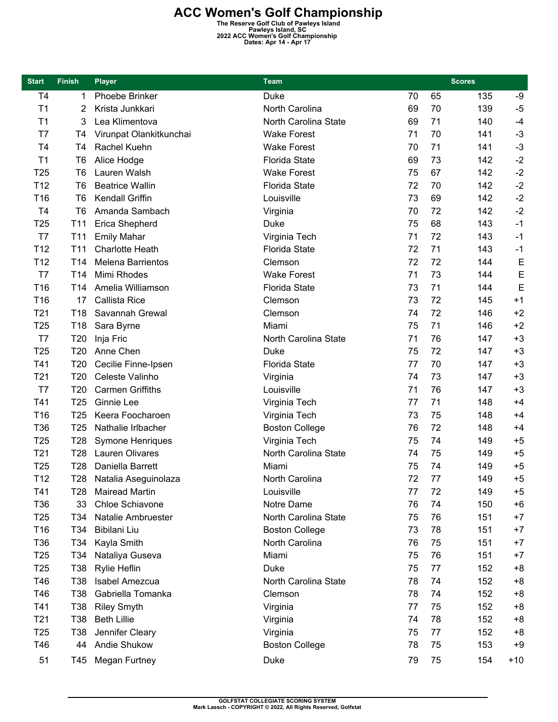**ACC Women's Golf Championship**<br>
The Reserve Golf Club of Pawleys Island<br>
Pawleys Island, SC<br>
2022 ACC Women's Golf Championship<br>
Dates: Apr 14 - Apr 17

| <b>Start</b>    | <b>Finish</b>   | <b>Player</b>            | <b>Team</b>           | <b>Scores</b> |    |     |       |
|-----------------|-----------------|--------------------------|-----------------------|---------------|----|-----|-------|
| T <sub>4</sub>  | 1               | <b>Phoebe Brinker</b>    | <b>Duke</b>           | 70            | 65 | 135 | -9    |
| T1              | 2               | Krista Junkkari          | North Carolina        | 69            | 70 | 139 | $-5$  |
| T1              | 3               | Lea Klimentova           | North Carolina State  | 69            | 71 | 140 | $-4$  |
| T <sub>7</sub>  | T <sub>4</sub>  | Virunpat Olankitkunchai  | <b>Wake Forest</b>    | 71            | 70 | 141 | $-3$  |
| T4              | T4              | Rachel Kuehn             | <b>Wake Forest</b>    | 70            | 71 | 141 | $-3$  |
| T1              | T <sub>6</sub>  | Alice Hodge              | <b>Florida State</b>  | 69            | 73 | 142 | $-2$  |
| T <sub>25</sub> | T <sub>6</sub>  | Lauren Walsh             | <b>Wake Forest</b>    | 75            | 67 | 142 | $-2$  |
| T12             | T <sub>6</sub>  | <b>Beatrice Wallin</b>   | <b>Florida State</b>  | 72            | 70 | 142 | $-2$  |
| T <sub>16</sub> | T <sub>6</sub>  | <b>Kendall Griffin</b>   | Louisville            | 73            | 69 | 142 | $-2$  |
| T <sub>4</sub>  | T <sub>6</sub>  | Amanda Sambach           | Virginia              | 70            | 72 | 142 | $-2$  |
| T <sub>25</sub> | T <sub>11</sub> | Erica Shepherd           | <b>Duke</b>           | 75            | 68 | 143 | $-1$  |
| T7              | T <sub>11</sub> | <b>Emily Mahar</b>       | Virginia Tech         | 71            | 72 | 143 | $-1$  |
| T <sub>12</sub> | T <sub>11</sub> | <b>Charlotte Heath</b>   | <b>Florida State</b>  | 72            | 71 | 143 | $-1$  |
| T12             | T <sub>14</sub> | <b>Melena Barrientos</b> | Clemson               | 72            | 72 | 144 | E     |
| T7              | T <sub>14</sub> | Mimi Rhodes              | <b>Wake Forest</b>    | 71            | 73 | 144 | E     |
| T <sub>16</sub> | T <sub>14</sub> | Amelia Williamson        | <b>Florida State</b>  | 73            | 71 | 144 | E     |
| T16             | 17              | Callista Rice            | Clemson               | 73            | 72 | 145 | $+1$  |
| T <sub>21</sub> | T18             | Savannah Grewal          | Clemson               | 74            | 72 | 146 | $+2$  |
| T <sub>25</sub> | T18             | Sara Byrne               | Miami                 | 75            | 71 | 146 | $+2$  |
| T7              | T20             | Inja Fric                | North Carolina State  | 71            | 76 | 147 | $+3$  |
| T <sub>25</sub> | T <sub>20</sub> | Anne Chen                | Duke                  | 75            | 72 | 147 | $+3$  |
| T41             | T20             | Cecilie Finne-Ipsen      | <b>Florida State</b>  | 77            | 70 | 147 | $+3$  |
| T21             | T20             | Celeste Valinho          | Virginia              | 74            | 73 | 147 | $+3$  |
| T7              | T <sub>20</sub> | <b>Carmen Griffiths</b>  | Louisville            | 71            | 76 | 147 | $+3$  |
| T41             | T <sub>25</sub> | Ginnie Lee               | Virginia Tech         | 77            | 71 | 148 | $+4$  |
| T <sub>16</sub> | T <sub>25</sub> | Keera Foocharoen         | Virginia Tech         | 73            | 75 | 148 | $+4$  |
| T36             | T <sub>25</sub> | Nathalie Irlbacher       | <b>Boston College</b> | 76            | 72 | 148 | $+4$  |
| T <sub>25</sub> | T <sub>28</sub> | <b>Symone Henriques</b>  | Virginia Tech         | 75            | 74 | 149 | $+5$  |
| T21             | T <sub>28</sub> | Lauren Olivares          | North Carolina State  | 74            | 75 | 149 | $+5$  |
| T <sub>25</sub> | T <sub>28</sub> | Daniella Barrett         | Miami                 | 75            | 74 | 149 | $+5$  |
|                 |                 |                          |                       |               |    |     |       |
| T <sub>12</sub> | T28             | Natalia Aseguinolaza     | North Carolina        | 72            | 77 | 149 | $+5$  |
| T41             | T28             | Mairead Martin           | Louisville            | 77            | 72 | 149 | +5    |
| T36             | 33              | Chloe Schiavone          | Notre Dame            | 76            | 74 | 150 | $+6$  |
| T <sub>25</sub> | T34             | Natalie Ambruester       | North Carolina State  | 75            | 76 | 151 | $+7$  |
| T16             | T34             | Bibilani Liu             | <b>Boston College</b> | 73            | 78 | 151 | $+7$  |
| T36             | T34             | Kayla Smith              | North Carolina        | 76            | 75 | 151 | $+7$  |
| T <sub>25</sub> | T34             | Nataliya Guseva          | Miami                 | 75            | 76 | 151 | $+7$  |
| T <sub>25</sub> | T38             | Rylie Heflin             | <b>Duke</b>           | 75            | 77 | 152 | $+8$  |
| T46             | T38             | Isabel Amezcua           | North Carolina State  | 78            | 74 | 152 | $+8$  |
| T46             | T38             | Gabriella Tomanka        | Clemson               | 78            | 74 | 152 | $+8$  |
| T41             | T38             | <b>Riley Smyth</b>       | Virginia              | 77            | 75 | 152 | $+8$  |
| T <sub>21</sub> | T38             | <b>Beth Lillie</b>       | Virginia              | 74            | 78 | 152 | +8    |
| T <sub>25</sub> | <b>T38</b>      | Jennifer Cleary          | Virginia              | 75            | 77 | 152 | $+8$  |
| T46             | 44              | Andie Shukow             | <b>Boston College</b> | 78            | 75 | 153 | $+9$  |
| 51              | T45             | <b>Megan Furtney</b>     | Duke                  | 79            | 75 | 154 | $+10$ |